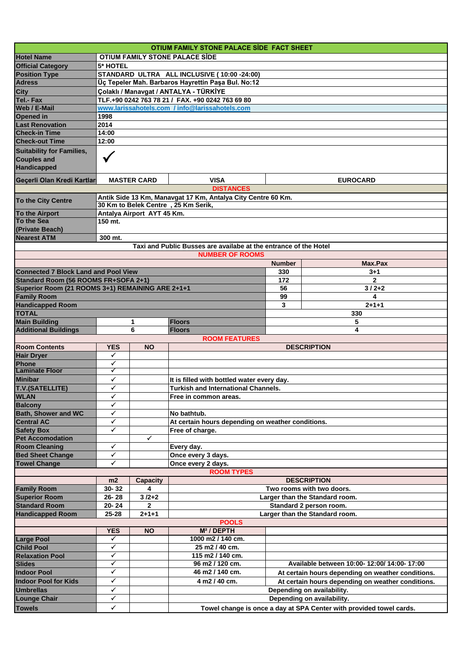|                                                                        |                                                                                            |                            | OTIUM FAMILY STONE PALACE SIDE FACT SHEET                                                |               |                                                                                                        |  |  |  |  |  |
|------------------------------------------------------------------------|--------------------------------------------------------------------------------------------|----------------------------|------------------------------------------------------------------------------------------|---------------|--------------------------------------------------------------------------------------------------------|--|--|--|--|--|
| <b>Hotel Name</b>                                                      | OTIUM FAMILY STONE PALACE SIDE                                                             |                            |                                                                                          |               |                                                                                                        |  |  |  |  |  |
| <b>Official Category</b>                                               | <b>5* HOTEL</b>                                                                            |                            |                                                                                          |               |                                                                                                        |  |  |  |  |  |
| <b>Position Type</b>                                                   | STANDARD ULTRA ALL INCLUSIVE (10:00 -24:00)                                                |                            |                                                                                          |               |                                                                                                        |  |  |  |  |  |
| <b>Adress</b>                                                          | Üç Tepeler Mah. Barbaros Hayrettin Paşa Bul. No:12                                         |                            |                                                                                          |               |                                                                                                        |  |  |  |  |  |
| <b>City</b>                                                            | Çolaklı / Manavgat / ANTALYA - TÜRKİYE<br>TLF.+90 0242 763 78 21 / FAX. +90 0242 763 69 80 |                            |                                                                                          |               |                                                                                                        |  |  |  |  |  |
| Tel.- Fax<br>Web / E-Mail                                              |                                                                                            |                            |                                                                                          |               |                                                                                                        |  |  |  |  |  |
| Opened in                                                              | www.larissahotels.com / info@larissahotels.com<br>1998                                     |                            |                                                                                          |               |                                                                                                        |  |  |  |  |  |
| <b>Last Renovation</b>                                                 | 2014                                                                                       |                            |                                                                                          |               |                                                                                                        |  |  |  |  |  |
| <b>Check-in Time</b>                                                   | 14:00                                                                                      |                            |                                                                                          |               |                                                                                                        |  |  |  |  |  |
| <b>Check-out Time</b>                                                  | 12:00                                                                                      |                            |                                                                                          |               |                                                                                                        |  |  |  |  |  |
| <b>Suitability for Families,</b><br><b>Couples and</b><br>Handicapped  |                                                                                            |                            |                                                                                          |               |                                                                                                        |  |  |  |  |  |
| Geçerli Olan Kredi Kartları                                            |                                                                                            | <b>MASTER CARD</b>         | <b>VISA</b>                                                                              |               | <b>EUROCARD</b>                                                                                        |  |  |  |  |  |
|                                                                        |                                                                                            |                            | <b>DISTANCES</b>                                                                         |               |                                                                                                        |  |  |  |  |  |
| To the City Centre                                                     |                                                                                            |                            | Antik Side 13 Km, Manavgat 17 Km, Antalya City Centre 60 Km.                             |               |                                                                                                        |  |  |  |  |  |
| <b>To the Airport</b>                                                  |                                                                                            | Antalya Airport AYT 45 Km. | 30 Km to Belek Centre, 25 Km Serik,                                                      |               |                                                                                                        |  |  |  |  |  |
| To the Sea                                                             | 150 mt.                                                                                    |                            |                                                                                          |               |                                                                                                        |  |  |  |  |  |
| (Private Beach)                                                        |                                                                                            |                            |                                                                                          |               |                                                                                                        |  |  |  |  |  |
| <b>Nearest ATM</b>                                                     | 300 mt.                                                                                    |                            |                                                                                          |               |                                                                                                        |  |  |  |  |  |
|                                                                        |                                                                                            |                            | Taxi and Public Busses are availabe at the entrance of the Hotel                         |               |                                                                                                        |  |  |  |  |  |
|                                                                        |                                                                                            |                            | <b>NUMBER OF ROOMS</b>                                                                   |               |                                                                                                        |  |  |  |  |  |
|                                                                        |                                                                                            |                            |                                                                                          | <b>Number</b> | Max.Pax                                                                                                |  |  |  |  |  |
| <b>Connected 7 Block Land and Pool View</b>                            |                                                                                            |                            |                                                                                          | 330           | $3 + 1$                                                                                                |  |  |  |  |  |
| Standard Room (56 ROOMS FR+SOFA 2+1)                                   |                                                                                            |                            |                                                                                          | 172           | $\overline{2}$                                                                                         |  |  |  |  |  |
| Superior Room (21 ROOMS 3+1) REMAINING ARE 2+1+1<br><b>Family Room</b> |                                                                                            |                            |                                                                                          | 56<br>99      | $3/2+2$<br>4                                                                                           |  |  |  |  |  |
| <b>Handicapped Room</b>                                                |                                                                                            |                            |                                                                                          | 3             | $2 + 1 + 1$                                                                                            |  |  |  |  |  |
| <b>TOTAL</b>                                                           |                                                                                            |                            |                                                                                          |               | 330                                                                                                    |  |  |  |  |  |
| <b>Main Building</b>                                                   |                                                                                            | 1                          | <b>Floors</b>                                                                            |               | 5                                                                                                      |  |  |  |  |  |
| <b>Additional Buildings</b>                                            |                                                                                            | 6                          | <b>Floors</b>                                                                            |               | 4                                                                                                      |  |  |  |  |  |
|                                                                        |                                                                                            |                            | <b>ROOM FEATURES</b>                                                                     |               |                                                                                                        |  |  |  |  |  |
| <b>Room Contents</b>                                                   | <b>YES</b>                                                                                 | <b>NO</b>                  |                                                                                          |               | <b>DESCRIPTION</b>                                                                                     |  |  |  |  |  |
| <b>Hair Dryer</b>                                                      | ✓                                                                                          |                            |                                                                                          |               |                                                                                                        |  |  |  |  |  |
|                                                                        |                                                                                            |                            |                                                                                          |               |                                                                                                        |  |  |  |  |  |
| Phone                                                                  | ✓<br>✓                                                                                     |                            |                                                                                          |               |                                                                                                        |  |  |  |  |  |
| <b>Laminate Floor</b>                                                  | ✓                                                                                          |                            |                                                                                          |               |                                                                                                        |  |  |  |  |  |
| <b>Minibar</b>                                                         | $\bar{v}$                                                                                  |                            | It is filled with bottled water every day.<br><b>Turkish and International Channels.</b> |               |                                                                                                        |  |  |  |  |  |
| <b>T.V.(SATELLITE)</b><br><b>WLAN</b>                                  | ✔                                                                                          |                            | Free in common areas.                                                                    |               |                                                                                                        |  |  |  |  |  |
| <b>Balcony</b>                                                         | ✓                                                                                          |                            |                                                                                          |               |                                                                                                        |  |  |  |  |  |
| <b>Bath, Shower and WC</b>                                             | ✓                                                                                          |                            | No bathtub.                                                                              |               |                                                                                                        |  |  |  |  |  |
| <b>Central AC</b>                                                      | ✓                                                                                          |                            | At certain hours depending on weather conditions.                                        |               |                                                                                                        |  |  |  |  |  |
| <b>Safety Box</b>                                                      | ✓                                                                                          |                            | Free of charge.                                                                          |               |                                                                                                        |  |  |  |  |  |
| <b>Pet Accomodation</b>                                                |                                                                                            | ✓                          |                                                                                          |               |                                                                                                        |  |  |  |  |  |
| <b>Room Cleaning</b>                                                   | ✓                                                                                          |                            | Every day.                                                                               |               |                                                                                                        |  |  |  |  |  |
| <b>Bed Sheet Change</b>                                                | ✓<br>✓                                                                                     |                            | Once every 3 days.                                                                       |               |                                                                                                        |  |  |  |  |  |
| <b>Towel Change</b>                                                    |                                                                                            |                            | Once every 2 days.<br><b>ROOM TYPES</b>                                                  |               |                                                                                                        |  |  |  |  |  |
|                                                                        | m2                                                                                         |                            |                                                                                          |               | <b>DESCRIPTION</b>                                                                                     |  |  |  |  |  |
| <b>Family Room</b>                                                     | 30-32                                                                                      | <b>Capacity</b><br>4       |                                                                                          |               | Two rooms with two doors.                                                                              |  |  |  |  |  |
| <b>Superior Room</b>                                                   | 26-28                                                                                      | $3/2+2$                    |                                                                                          |               | Larger than the Standard room.                                                                         |  |  |  |  |  |
| <b>Standard Room</b>                                                   | 20-24                                                                                      | 2                          |                                                                                          |               | Standard 2 person room.                                                                                |  |  |  |  |  |
| <b>Handicapped Room</b>                                                | 25-28                                                                                      | $2 + 1 + 1$                |                                                                                          |               | Larger than the Standard room.                                                                         |  |  |  |  |  |
|                                                                        |                                                                                            |                            | <b>POOLS</b>                                                                             |               |                                                                                                        |  |  |  |  |  |
|                                                                        | <b>YES</b>                                                                                 | <b>NO</b>                  | M <sup>2</sup> / DEPTH                                                                   |               |                                                                                                        |  |  |  |  |  |
| <b>Large Pool</b>                                                      | ✓                                                                                          |                            | 1000 m2 / 140 cm.                                                                        |               |                                                                                                        |  |  |  |  |  |
| <b>Child Pool</b>                                                      | ✓<br>✓                                                                                     |                            | 25 m2 / 40 cm.                                                                           |               |                                                                                                        |  |  |  |  |  |
| <b>Relaxation Pool</b>                                                 | ✓                                                                                          |                            | 115 m2 / 140 cm.<br>96 m2 / 120 cm.                                                      |               | Available between 10:00- 12:00/ 14:00- 17:00                                                           |  |  |  |  |  |
| <b>Slides</b><br><b>Indoor Pool</b>                                    | ✓                                                                                          |                            | 46 m2 / 140 cm.                                                                          |               |                                                                                                        |  |  |  |  |  |
| <b>Indoor Pool for Kids</b>                                            | ✓                                                                                          |                            | 4 m2 / 40 cm.                                                                            |               | At certain hours depending on weather conditions.<br>At certain hours depending on weather conditions. |  |  |  |  |  |
| <b>Umbrellas</b>                                                       | ✓                                                                                          |                            |                                                                                          |               | Depending on availability.                                                                             |  |  |  |  |  |
| <b>Lounge Chair</b>                                                    | ✓                                                                                          |                            |                                                                                          |               | Depending on availability.                                                                             |  |  |  |  |  |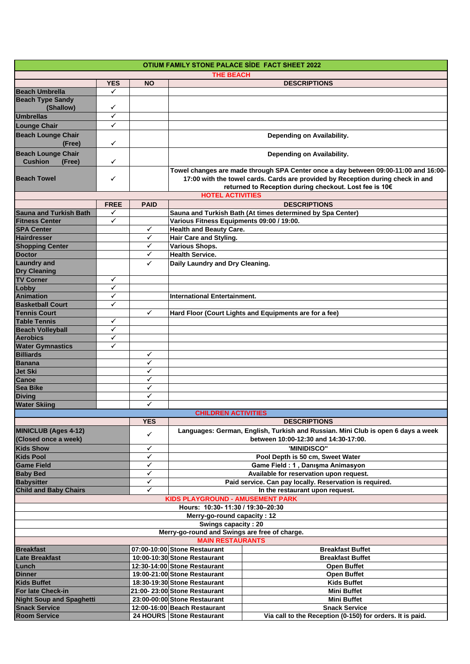| OTIUM FAMILY STONE PALACE SIDE FACT SHEET 2022      |              |              |                                                                                                                                                                                                                                  |                                                            |  |  |  |  |
|-----------------------------------------------------|--------------|--------------|----------------------------------------------------------------------------------------------------------------------------------------------------------------------------------------------------------------------------------|------------------------------------------------------------|--|--|--|--|
| <b>THE BEACH</b>                                    |              |              |                                                                                                                                                                                                                                  |                                                            |  |  |  |  |
|                                                     | <b>YES</b>   | <b>NO</b>    |                                                                                                                                                                                                                                  | <b>DESCRIPTIONS</b>                                        |  |  |  |  |
| <b>Beach Umbrella</b><br><b>Beach Type Sandy</b>    | ✓            |              |                                                                                                                                                                                                                                  |                                                            |  |  |  |  |
| (Shallow)                                           | ✓            |              |                                                                                                                                                                                                                                  |                                                            |  |  |  |  |
| <b>Umbrellas</b>                                    | ✓            |              |                                                                                                                                                                                                                                  |                                                            |  |  |  |  |
| <b>Lounge Chair</b>                                 | ✓            |              |                                                                                                                                                                                                                                  |                                                            |  |  |  |  |
| <b>Beach Lounge Chair</b><br>(Free)                 | ✓            |              | Depending on Availability.                                                                                                                                                                                                       |                                                            |  |  |  |  |
| <b>Beach Lounge Chair</b>                           |              |              |                                                                                                                                                                                                                                  | Depending on Availability.                                 |  |  |  |  |
| <b>Cushion</b><br>(Free)                            | ✓            |              |                                                                                                                                                                                                                                  |                                                            |  |  |  |  |
| <b>Beach Towel</b>                                  | ✓            |              | Towel changes are made through SPA Center once a day between 09:00-11:00 and 16:00-<br>17:00 with the towel cards. Cards are provided by Reception during check in and<br>returned to Reception during checkout. Lost fee is 10€ |                                                            |  |  |  |  |
|                                                     |              |              | <b>HOTEL ACTIVITIES</b>                                                                                                                                                                                                          |                                                            |  |  |  |  |
|                                                     | <b>FREE</b>  | <b>PAID</b>  |                                                                                                                                                                                                                                  | <b>DESCRIPTIONS</b>                                        |  |  |  |  |
| <b>Sauna and Turkish Bath</b>                       | ✓            |              |                                                                                                                                                                                                                                  | Sauna and Turkish Bath (At times determined by Spa Center) |  |  |  |  |
| <b>Fitness Center</b>                               | ✓            |              | Various Fitness Equipments 09:00 / 19:00.                                                                                                                                                                                        |                                                            |  |  |  |  |
| <b>SPA Center</b><br>Hairdresser                    |              | ✓            | <b>Health and Beauty Care.</b>                                                                                                                                                                                                   |                                                            |  |  |  |  |
|                                                     |              | ✓            | Hair Care and Styling.                                                                                                                                                                                                           |                                                            |  |  |  |  |
| <b>Shopping Center</b>                              |              | ✓            | Various Shops.                                                                                                                                                                                                                   |                                                            |  |  |  |  |
| <b>Doctor</b>                                       |              | ✓            | <b>Health Service.</b>                                                                                                                                                                                                           |                                                            |  |  |  |  |
| <b>Laundry and</b>                                  |              | ✓            | Daily Laundry and Dry Cleaning.                                                                                                                                                                                                  |                                                            |  |  |  |  |
| <b>Dry Cleaning</b>                                 |              |              |                                                                                                                                                                                                                                  |                                                            |  |  |  |  |
| <b>TV Corner</b>                                    | ✓            |              |                                                                                                                                                                                                                                  |                                                            |  |  |  |  |
| Lobby                                               | ✓            |              |                                                                                                                                                                                                                                  |                                                            |  |  |  |  |
| Animation                                           | ✓<br>✓       |              | <b>International Entertainment.</b>                                                                                                                                                                                              |                                                            |  |  |  |  |
| <b>Basketball Court</b><br><b>Tennis Court</b>      |              | $\checkmark$ |                                                                                                                                                                                                                                  |                                                            |  |  |  |  |
| <b>Table Tennis</b>                                 | ✓            |              |                                                                                                                                                                                                                                  | Hard Floor (Court Lights and Equipments are for a fee)     |  |  |  |  |
| <b>Beach Volleyball</b>                             | ✓            |              |                                                                                                                                                                                                                                  |                                                            |  |  |  |  |
| <b>Aerobics</b>                                     | $\checkmark$ |              |                                                                                                                                                                                                                                  |                                                            |  |  |  |  |
|                                                     | ✓            |              |                                                                                                                                                                                                                                  |                                                            |  |  |  |  |
| Water Gymnastics<br>Billiards                       |              | ✓            |                                                                                                                                                                                                                                  |                                                            |  |  |  |  |
| <b>Banana</b>                                       |              | ✓            |                                                                                                                                                                                                                                  |                                                            |  |  |  |  |
|                                                     |              | $\checkmark$ |                                                                                                                                                                                                                                  |                                                            |  |  |  |  |
| Jet Ski<br>Canoe                                    |              | ✓            |                                                                                                                                                                                                                                  |                                                            |  |  |  |  |
| Sea Bike                                            |              | ✓            |                                                                                                                                                                                                                                  |                                                            |  |  |  |  |
| <b>Diving</b>                                       |              | ✓            |                                                                                                                                                                                                                                  |                                                            |  |  |  |  |
| <b>Water Skiing</b>                                 |              | ✓            |                                                                                                                                                                                                                                  |                                                            |  |  |  |  |
|                                                     |              |              | <b>CHILDREN ACTIVITIES</b>                                                                                                                                                                                                       |                                                            |  |  |  |  |
|                                                     |              | <b>YES</b>   |                                                                                                                                                                                                                                  | <b>DESCRIPTIONS</b>                                        |  |  |  |  |
| <b>MINICLUB (Ages 4-12)</b><br>(Closed once a week) |              | ✓            | Languages: German, English, Turkish and Russian. Mini Club is open 6 days a week<br>between 10:00-12:30 and 14:30-17:00.                                                                                                         |                                                            |  |  |  |  |
|                                                     |              | ✓            |                                                                                                                                                                                                                                  |                                                            |  |  |  |  |
| <b>Kids Show</b><br><b>Kids Pool</b>                |              | ✓            | 'MINIDISCO"                                                                                                                                                                                                                      |                                                            |  |  |  |  |
| <b>Game Field</b>                                   |              | ✓            | Pool Depth is 50 cm, Sweet Water<br>Game Field: 1, Danışma Animasyon                                                                                                                                                             |                                                            |  |  |  |  |
| <b>Baby Bed</b>                                     |              | $\checkmark$ | Available for reservation upon request.                                                                                                                                                                                          |                                                            |  |  |  |  |
| <b>Babysitter</b>                                   |              | ✓            | Paid service. Can pay locally. Reservation is required.                                                                                                                                                                          |                                                            |  |  |  |  |
| <b>Child and Baby Chairs</b>                        |              | ✓            |                                                                                                                                                                                                                                  | In the restaurant upon request.                            |  |  |  |  |
|                                                     |              |              | KIDS PLAYGROUND - AMUSEMENT PARK                                                                                                                                                                                                 |                                                            |  |  |  |  |
|                                                     |              |              | Hours: 10:30-11:30 / 19:30-20:30                                                                                                                                                                                                 |                                                            |  |  |  |  |
|                                                     |              |              | Merry-go-round capacity: 12                                                                                                                                                                                                      |                                                            |  |  |  |  |
|                                                     |              |              | Swings capacity: 20                                                                                                                                                                                                              |                                                            |  |  |  |  |
|                                                     |              |              | Merry-go-round and Swings are free of charge.                                                                                                                                                                                    |                                                            |  |  |  |  |
|                                                     |              |              | <b>MAIN RESTAURANTS</b>                                                                                                                                                                                                          |                                                            |  |  |  |  |
| <b>Breakfast</b>                                    |              |              | 07:00-10:00 Stone Restaurant                                                                                                                                                                                                     | <b>Breakfast Buffet</b>                                    |  |  |  |  |
| <b>Late Breakfast</b>                               |              |              | 10:00-10:30 Stone Restaurant                                                                                                                                                                                                     | <b>Breakfast Buffet</b>                                    |  |  |  |  |
| Lunch                                               |              |              | 12:30-14:00 Stone Restaurant                                                                                                                                                                                                     | Open Buffet                                                |  |  |  |  |
| <b>Dinner</b>                                       |              |              | 19:00-21:00 Stone Restaurant                                                                                                                                                                                                     | <b>Open Buffet</b>                                         |  |  |  |  |
| <b>Kids Buffet</b>                                  |              |              | 18:30-19:30 Stone Restaurant                                                                                                                                                                                                     | <b>Kids Buffet</b>                                         |  |  |  |  |
| For late Check-in                                   |              |              | 21:00-23:00 Stone Restaurant                                                                                                                                                                                                     | <b>Mini Buffet</b>                                         |  |  |  |  |
| <b>Night Soup and Spaghetti</b>                     |              |              | 23:00-00:00 Stone Restaurant                                                                                                                                                                                                     | <b>Mini Buffet</b>                                         |  |  |  |  |
| <b>Snack Service</b>                                |              |              | 12:00-16:00 Beach Restaurant                                                                                                                                                                                                     | <b>Snack Service</b>                                       |  |  |  |  |
| Room Service                                        |              |              | 24 HOURS Stone Restaurant                                                                                                                                                                                                        | Via call to the Reception (0-150) for orders. It is paid.  |  |  |  |  |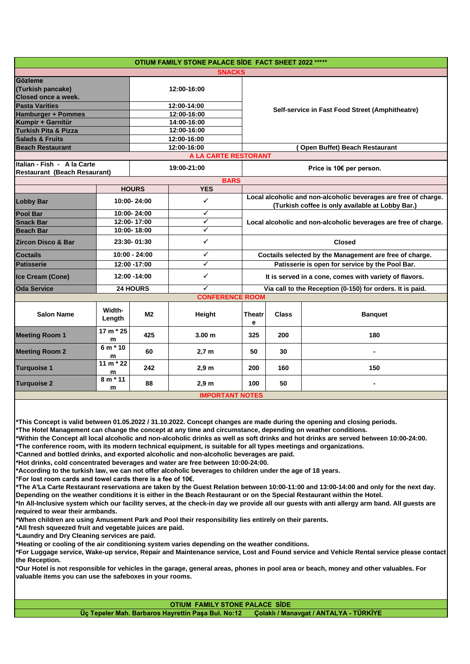|                                                                    |                      |              | OTIUM FAMILY STONE PALACE SİDE FACT SHEET 2022 ***** |                                                           |                                                                                                                     |                |  |  |  |
|--------------------------------------------------------------------|----------------------|--------------|------------------------------------------------------|-----------------------------------------------------------|---------------------------------------------------------------------------------------------------------------------|----------------|--|--|--|
| <b>SNACKS</b>                                                      |                      |              |                                                      |                                                           |                                                                                                                     |                |  |  |  |
| Gözleme<br>(Turkish pancake)<br><b>Closed once a week.</b>         |                      |              | 12:00-16:00                                          |                                                           |                                                                                                                     |                |  |  |  |
| <b>Pasta Varities</b>                                              |                      | 12:00-14:00  |                                                      |                                                           | Self-service in Fast Food Street (Amphitheatre)                                                                     |                |  |  |  |
| <b>Hamburger + Pommes</b>                                          |                      | 12:00-16:00  |                                                      |                                                           |                                                                                                                     |                |  |  |  |
| Kumpir + Garnitür                                                  |                      |              |                                                      |                                                           |                                                                                                                     |                |  |  |  |
| Turkish Pita & Pizza                                               |                      | 12:00-16:00  |                                                      |                                                           |                                                                                                                     |                |  |  |  |
| <b>Salads &amp; Fruits</b>                                         |                      |              | 12:00-16:00<br>12:00-16:00                           |                                                           |                                                                                                                     |                |  |  |  |
| <b>Beach Restaurant</b>                                            |                      |              |                                                      | Open Buffet) Beach Restaurant                             |                                                                                                                     |                |  |  |  |
|                                                                    |                      |              | A LA CARTE RESTORANT                                 |                                                           |                                                                                                                     |                |  |  |  |
| Italian - Fish - A la Carte<br><b>Restaurant (Beach Resaurant)</b> |                      | 19:00-21:00  |                                                      |                                                           | Price is 10€ per person.                                                                                            |                |  |  |  |
| <b>BARS</b>                                                        |                      |              |                                                      |                                                           |                                                                                                                     |                |  |  |  |
|                                                                    |                      | <b>HOURS</b> | <b>YES</b>                                           |                                                           |                                                                                                                     |                |  |  |  |
| <b>Lobby Bar</b>                                                   | 10:00-24:00          |              | ✓                                                    |                                                           | Local alcoholic and non-alcoholic beverages are free of charge.<br>(Turkish coffee is only available at Lobby Bar.) |                |  |  |  |
| <b>Pool Bar</b>                                                    | 10:00-24:00          |              | $\checkmark$                                         |                                                           | Local alcoholic and non-alcoholic beverages are free of charge.                                                     |                |  |  |  |
| <b>Snack Bar</b>                                                   | 12:00-17:00          |              | $\overline{\checkmark}$                              |                                                           |                                                                                                                     |                |  |  |  |
| <b>Beach Bar</b>                                                   | 10:00-18:00          |              | $\checkmark$                                         |                                                           |                                                                                                                     |                |  |  |  |
| <b>Zircon Disco &amp; Bar</b>                                      | 23:30-01:30          |              | $\checkmark$                                         |                                                           | <b>Closed</b>                                                                                                       |                |  |  |  |
| <b>Coctails</b>                                                    | $10:00 - 24:00$      |              | $\checkmark$                                         |                                                           | Coctails selected by the Management are free of charge.                                                             |                |  |  |  |
| <b>Patisserie</b>                                                  | 12:00 -17:00         |              | $\checkmark$                                         |                                                           | Patisserie is open for service by the Pool Bar.                                                                     |                |  |  |  |
| Ice Cream (Cone)                                                   | 12:00 -14:00         |              | ✓                                                    |                                                           | It is served in a cone, comes with variety of flavors.                                                              |                |  |  |  |
| <b>Oda Service</b>                                                 | ✓<br><b>24 HOURS</b> |              |                                                      | Via call to the Reception (0-150) for orders. It is paid. |                                                                                                                     |                |  |  |  |
| <b>CONFERENCE ROOM</b>                                             |                      |              |                                                      |                                                           |                                                                                                                     |                |  |  |  |
| <b>Salon Name</b>                                                  | Width-<br>Length     | M2           | Height                                               | <b>Theatr</b><br>e                                        | <b>Class</b>                                                                                                        | <b>Banquet</b> |  |  |  |
| <b>Meeting Room 1</b>                                              | 17 m * 25<br>m       | 425          | 3.00 <sub>m</sub>                                    | 325                                                       | 200                                                                                                                 | 180            |  |  |  |
| <b>Meeting Room 2</b>                                              | 6 m * 10<br>m        | 60           | $2,7$ m                                              | 50                                                        | 30                                                                                                                  |                |  |  |  |
| <b>Turquoise 1</b>                                                 | 11 m $*$ 22<br>m     | 242          | 2,9m                                                 | 200                                                       | 160                                                                                                                 | 150            |  |  |  |
| <b>Turquoise 2</b>                                                 | $8 m * 11$<br>m      | 88           | 2.9 <sub>m</sub>                                     | 100                                                       | 50                                                                                                                  |                |  |  |  |
|                                                                    |                      |              | <b>IMPORTANT NOTES</b>                               |                                                           |                                                                                                                     |                |  |  |  |

**\*This Concept is valid between 01.05.2022 / 31.10.2022. Concept changes are made during the opening and closing periods.**

**\*The Hotel Management can change the concept at any time and circumstance, depending on weather conditions.**

**\*Within the Concept all local alcoholic and non-alcoholic drinks as well as soft drinks and hot drinks are served between 10:00-24:00.**

**\*The conference room, with its modern technical equipment, is suitable for all types meetings and organizations.**

**\*Canned and bottled drinks, and exported alcoholic and non-alcoholic beverages are paid.**

**\*Hot drinks, cold concentrated beverages and water are free between 10:00-24:00.**

**\*According to the turkish law, we can not offer alcoholic beverages to children under the age of 18 years.**

**\*For lost room cards and towel cards there is a fee of 10€.**

**\*The A'La Carte Restaurant reservations are taken by the Guest Relation between 10:00-11:00 and 13:00-14:00 and only for the next day. Depending on the weather conditions it is either in the Beach Restaurant or on the Special Restaurant within the Hotel.**

**\*In All-Inclusive system which our facility serves, at the check-in day we provide all our guests with anti allergy arm band. All guests are required to wear their armbands.**

**\*When children are using Amusement Park and Pool their responsibility lies entirely on their parents.**

**\*All fresh squeezed fruit and vegetable juices are paid.** 

**\*Laundry and Dry Cleaning services are paid.**

**\*Heating or cooling of the air conditioning system varies depending on the weather conditions.**

**\*For Luggage service, Wake-up service, Repair and Maintenance service, Lost and Found service and Vehicle Rental service please contact the Reception.**

**\*Our Hotel is not responsible for vehicles in the garage, general areas, phones in pool area or beach, money and other valuables. For valuable items you can use the safeboxes in your rooms.**

**OTIUM FAMILY STONE PALACE SİDE** 

Üç Tepeler Mah. Barbaros Hayrettin Paşa Bul. No:12 Colaklı / Manavgat / ANTALYA - TÜRKİYE